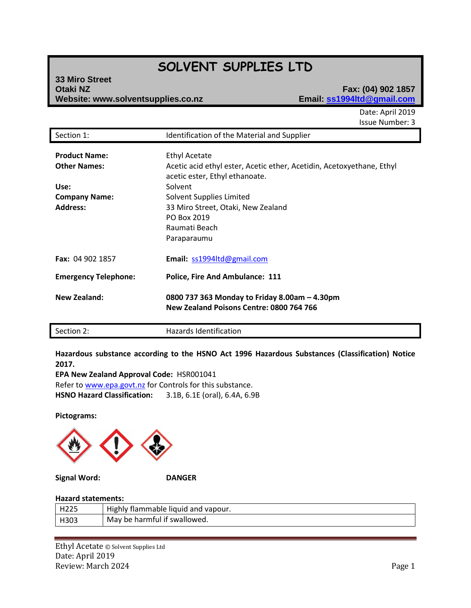# **SOLVENT SUPPLIES LTD**

| 33 Miro Street                     |  |
|------------------------------------|--|
| <b>Otaki NZ</b>                    |  |
| Website: www.solventsupplies.co.nz |  |

# **Otaki NZ Fax: (04) 902 1857 Website: www.solventsupplies.co.nz Email: ss1994ltd@gmail.com**

Date: April 2019 Issue Number: 3

| Section 1:                                                                                     | Identification of the Material and Supplier                                                                                                                                                                                                                 |
|------------------------------------------------------------------------------------------------|-------------------------------------------------------------------------------------------------------------------------------------------------------------------------------------------------------------------------------------------------------------|
| <b>Product Name:</b><br><b>Other Names:</b><br>Use:<br><b>Company Name:</b><br><b>Address:</b> | <b>Ethyl Acetate</b><br>Acetic acid ethyl ester, Acetic ether, Acetidin, Acetoxyethane, Ethyl<br>acetic ester, Ethyl ethanoate.<br>Solvent<br>Solvent Supplies Limited<br>33 Miro Street, Otaki, New Zealand<br>PO Box 2019<br>Raumati Beach<br>Paraparaumu |
| <b>Fax: 04 902 1857</b>                                                                        | Email: ss1994ltd@gmail.com                                                                                                                                                                                                                                  |
| <b>Emergency Telephone:</b>                                                                    | <b>Police, Fire And Ambulance: 111</b>                                                                                                                                                                                                                      |
| <b>New Zealand:</b>                                                                            | 0800 737 363 Monday to Friday 8.00am - 4.30pm<br>New Zealand Poisons Centre: 0800 764 766                                                                                                                                                                   |

Section 2: Hazards Identification

**Hazardous substance according to the HSNO Act 1996 Hazardous Substances (Classification) Notice 2017.**

**EPA New Zealand Approval Code:** HSR001041 Refer t[o www.epa.govt.nz](http://www.epa.govt.nz/) for Controls for this substance. **HSNO Hazard Classification:** 3.1B, 6.1E (oral), 6.4A, 6.9B

**Pictograms:**



**Signal Word: DANGER**

# **Hazard statements:**

| H225 | Highly flammable liquid and vapour. |
|------|-------------------------------------|
| H303 | May be harmful if swallowed.        |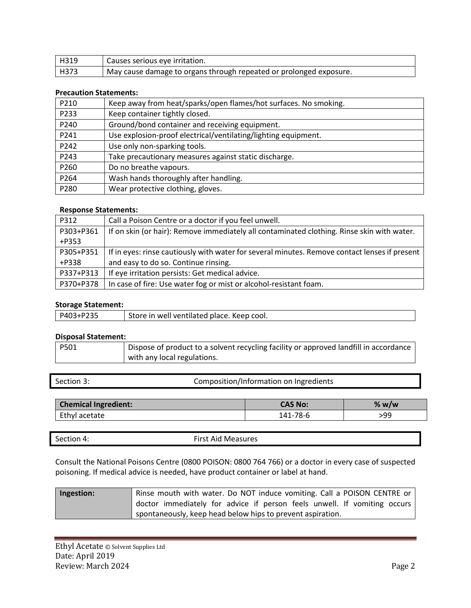| l H319 | Causes serious eye irritation.                                      |
|--------|---------------------------------------------------------------------|
| l H373 | 'May cause damage to organs through repeated or prolonged exposure. |

# **Precaution Statements:**

| P210 | Keep away from heat/sparks/open flames/hot surfaces. No smoking. |
|------|------------------------------------------------------------------|
| P233 | Keep container tightly closed.                                   |
| P240 | Ground/bond container and receiving equipment.                   |
| P241 | Use explosion-proof electrical/ventilating/lighting equipment.   |
| P242 | Use only non-sparking tools.                                     |
| P243 | Take precautionary measures against static discharge.            |
| P260 | Do no breathe vapours.                                           |
| P264 | Wash hands thoroughly after handling.                            |
| P280 | Wear protective clothing, gloves.                                |

# **Response Statements:**

| P312      | Call a Poison Centre or a doctor if you feel unwell.                                          |
|-----------|-----------------------------------------------------------------------------------------------|
| P303+P361 | If on skin (or hair): Remove immediately all contaminated clothing. Rinse skin with water.    |
| $+P353$   |                                                                                               |
| P305+P351 | If in eyes: rinse cautiously with water for several minutes. Remove contact lenses if present |
| +P338     | and easy to do so. Continue rinsing.                                                          |
| P337+P313 | If eye irritation persists: Get medical advice.                                               |
| P370+P378 | In case of fire: Use water fog or mist or alcohol-resistant foam.                             |

# **Storage Statement:**

| P403+P235 | Store in well ventilated place. Keep cool. |
|-----------|--------------------------------------------|
|           |                                            |

### **Disposal Statement:**

| <b>P501</b> | Dispose of product to a solvent recycling facility or approved landfill in accordance |  |
|-------------|---------------------------------------------------------------------------------------|--|
|             | with any local regulations.                                                           |  |

| Section 3: |  |
|------------|--|

Composition/Information on Ingredients

| <b>Chemical Ingredient:</b> | CAS No: | % w/w |
|-----------------------------|---------|-------|
| Ethyl acetate               | 78-6    | 99؍   |

| <b>Section</b><br>$\overline{\phantom{a}}$<br>_ _ _ _ | Sirct.<br>Measures<br>Aid<br>. |
|-------------------------------------------------------|--------------------------------|
|                                                       |                                |

Consult the National Poisons Centre (0800 POISON: 0800 764 766) or a doctor in every case of suspected poisoning. If medical advice is needed, have product container or label at hand.

| Ingestion: | Rinse mouth with water. Do NOT induce vomiting. Call a POISON CENTRE or  |
|------------|--------------------------------------------------------------------------|
|            | doctor immediately for advice if person feels unwell. If vomiting occurs |
|            | spontaneously, keep head below hips to prevent aspiration.               |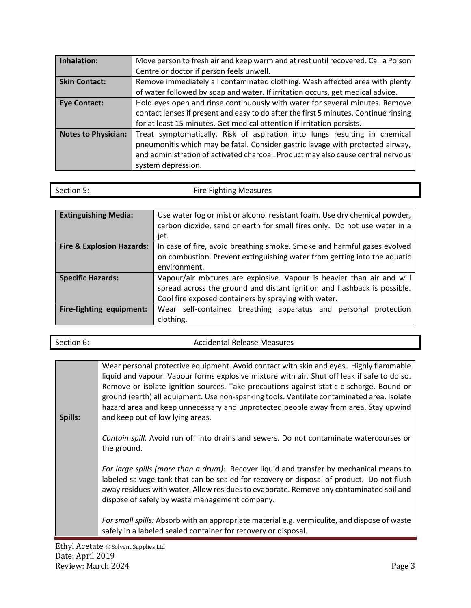| Inhalation:                | Move person to fresh air and keep warm and at rest until recovered. Call a Poison                                                                                                                                                                                      |
|----------------------------|------------------------------------------------------------------------------------------------------------------------------------------------------------------------------------------------------------------------------------------------------------------------|
|                            | Centre or doctor if person feels unwell.                                                                                                                                                                                                                               |
| <b>Skin Contact:</b>       | Remove immediately all contaminated clothing. Wash affected area with plenty                                                                                                                                                                                           |
|                            | of water followed by soap and water. If irritation occurs, get medical advice.                                                                                                                                                                                         |
| <b>Eye Contact:</b>        | Hold eyes open and rinse continuously with water for several minutes. Remove                                                                                                                                                                                           |
|                            | contact lenses if present and easy to do after the first 5 minutes. Continue rinsing                                                                                                                                                                                   |
|                            | for at least 15 minutes. Get medical attention if irritation persists.                                                                                                                                                                                                 |
| <b>Notes to Physician:</b> | Treat symptomatically. Risk of aspiration into lungs resulting in chemical<br>pneumonitis which may be fatal. Consider gastric lavage with protected airway,<br>and administration of activated charcoal. Product may also cause central nervous<br>system depression. |

| Section 5: | <b>Fire Fighting Measures</b> |
|------------|-------------------------------|

| <b>Extinguishing Media:</b>          | Use water fog or mist or alcohol resistant foam. Use dry chemical powder,<br>carbon dioxide, sand or earth for small fires only. Do not use water in a<br>jet.                                             |  |
|--------------------------------------|------------------------------------------------------------------------------------------------------------------------------------------------------------------------------------------------------------|--|
| <b>Fire &amp; Explosion Hazards:</b> | In case of fire, avoid breathing smoke. Smoke and harmful gases evolved<br>on combustion. Prevent extinguishing water from getting into the aquatic<br>environment.                                        |  |
| <b>Specific Hazards:</b>             | Vapour/air mixtures are explosive. Vapour is heavier than air and will<br>spread across the ground and distant ignition and flashback is possible.<br>Cool fire exposed containers by spraying with water. |  |
| Fire-fighting equipment:             | Wear self-contained breathing apparatus and personal protection<br>clothing.                                                                                                                               |  |

| Section 6: |  |
|------------|--|

### Accidental Release Measures

**Spills:** Wear personal protective equipment. Avoid contact with skin and eyes. Highly flammable liquid and vapour. Vapour forms explosive mixture with air. Shut off leak if safe to do so. Remove or isolate ignition sources. Take precautions against static discharge. Bound or ground (earth) all equipment. Use non-sparking tools. Ventilate contaminated area. Isolate hazard area and keep unnecessary and unprotected people away from area. Stay upwind and keep out of low lying areas.

> *Contain spill.* Avoid run off into drains and sewers. Do not contaminate watercourses or the ground.

> *For large spills (more than a drum):* Recover liquid and transfer by mechanical means to labeled salvage tank that can be sealed for recovery or disposal of product. Do not flush away residues with water. Allow residues to evaporate. Remove any contaminated soil and dispose of safely by waste management company.

> *For small spills:* Absorb with an appropriate material e.g. vermiculite, and dispose of waste safely in a labeled sealed container for recovery or disposal.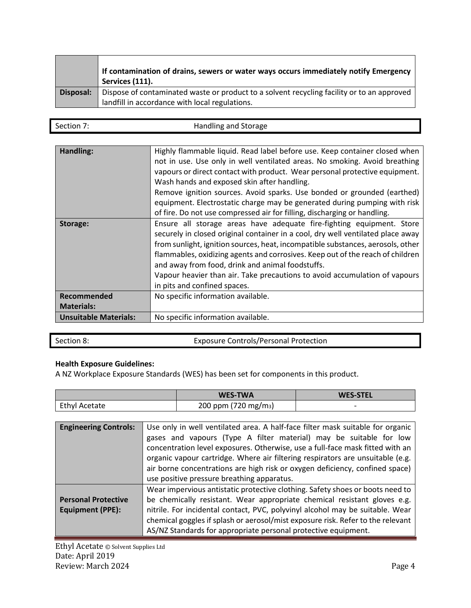|           | If contamination of drains, sewers or water ways occurs immediately notify Emergency<br>Services (111).                                      |
|-----------|----------------------------------------------------------------------------------------------------------------------------------------------|
| Disposal: | Dispose of contaminated waste or product to a solvent recycling facility or to an approved<br>landfill in accordance with local regulations. |

| Section | Handling and Storage |
|---------|----------------------|
|         |                      |

| Handling:                    | Highly flammable liquid. Read label before use. Keep container closed when<br>not in use. Use only in well ventilated areas. No smoking. Avoid breathing<br>vapours or direct contact with product. Wear personal protective equipment.<br>Wash hands and exposed skin after handling.<br>Remove ignition sources. Avoid sparks. Use bonded or grounded (earthed)<br>equipment. Electrostatic charge may be generated during pumping with risk<br>of fire. Do not use compressed air for filling, discharging or handling. |
|------------------------------|----------------------------------------------------------------------------------------------------------------------------------------------------------------------------------------------------------------------------------------------------------------------------------------------------------------------------------------------------------------------------------------------------------------------------------------------------------------------------------------------------------------------------|
| Storage:                     | Ensure all storage areas have adequate fire-fighting equipment. Store<br>securely in closed original container in a cool, dry well ventilated place away<br>from sunlight, ignition sources, heat, incompatible substances, aerosols, other<br>flammables, oxidizing agents and corrosives. Keep out of the reach of children<br>and away from food, drink and animal foodstuffs.<br>Vapour heavier than air. Take precautions to avoid accumulation of vapours<br>in pits and confined spaces.                            |
| <b>Recommended</b>           | No specific information available.                                                                                                                                                                                                                                                                                                                                                                                                                                                                                         |
| <b>Materials:</b>            |                                                                                                                                                                                                                                                                                                                                                                                                                                                                                                                            |
| <b>Unsuitable Materials:</b> | No specific information available.                                                                                                                                                                                                                                                                                                                                                                                                                                                                                         |
|                              |                                                                                                                                                                                                                                                                                                                                                                                                                                                                                                                            |

| Section 8: | <b>Exposure Controls/Personal Protection</b> |
|------------|----------------------------------------------|
|            |                                              |

# **Health Exposure Guidelines:**

A NZ Workplace Exposure Standards (WES) has been set for components in this product.

|                      | <b>WES-TWA</b>                   | <b>WES-STEL</b>          |
|----------------------|----------------------------------|--------------------------|
| <b>Ethyl Acetate</b> | 200 ppm (720 mg/m <sub>3</sub> ) | $\overline{\phantom{0}}$ |

| <b>Engineering Controls:</b>                          | Use only in well ventilated area. A half-face filter mask suitable for organic<br>gases and vapours (Type A filter material) may be suitable for low<br>concentration level exposures. Otherwise, use a full-face mask fitted with an<br>organic vapour cartridge. Where air filtering respirators are unsuitable (e.g.<br>air borne concentrations are high risk or oxygen deficiency, confined space) |
|-------------------------------------------------------|---------------------------------------------------------------------------------------------------------------------------------------------------------------------------------------------------------------------------------------------------------------------------------------------------------------------------------------------------------------------------------------------------------|
|                                                       | use positive pressure breathing apparatus.                                                                                                                                                                                                                                                                                                                                                              |
| <b>Personal Protective</b><br><b>Equipment (PPE):</b> | Wear impervious antistatic protective clothing. Safety shoes or boots need to<br>be chemically resistant. Wear appropriate chemical resistant gloves e.g.<br>nitrile. For incidental contact, PVC, polyvinyl alcohol may be suitable. Wear<br>chemical goggles if splash or aerosol/mist exposure risk. Refer to the relevant<br>AS/NZ Standards for appropriate personal protective equipment.         |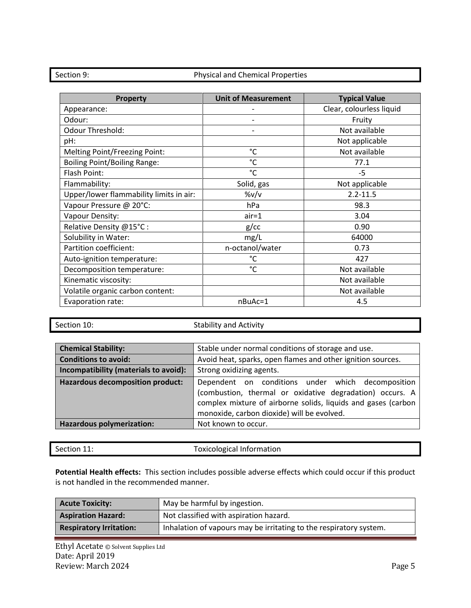### Section 9: The Physical and Chemical Properties

| <b>Property</b>                         | <b>Unit of Measurement</b> | <b>Typical Value</b>     |
|-----------------------------------------|----------------------------|--------------------------|
| Appearance:                             |                            | Clear, colourless liquid |
| Odour:                                  |                            | Fruity                   |
| Odour Threshold:                        |                            | Not available            |
| pH:                                     |                            | Not applicable           |
| Melting Point/Freezing Point:           | $^{\circ}$ C               | Not available            |
| <b>Boiling Point/Boiling Range:</b>     | $^{\circ}$ C               | 77.1                     |
| Flash Point:                            | $^{\circ}$ C               | $-5$                     |
| Flammability:                           | Solid, gas                 | Not applicable           |
| Upper/lower flammability limits in air: | %v/v                       | $2.2 - 11.5$             |
| Vapour Pressure @ 20°C:                 | hPa                        | 98.3                     |
| Vapour Density:                         | $air = 1$                  | 3.04                     |
| Relative Density @15°C:                 | $g$ / $cc$                 | 0.90                     |
| Solubility in Water:                    | mg/L                       | 64000                    |
| Partition coefficient:                  | n-octanol/water            | 0.73                     |
| Auto-ignition temperature:              | °C                         | 427                      |
| Decomposition temperature:              | $^{\circ}$ C               | Not available            |
| Kinematic viscosity:                    |                            | Not available            |
| Volatile organic carbon content:        |                            | Not available            |
| Evaporation rate:                       | nBuAc=1                    | 4.5                      |

Section 10: Section 10: Stability and Activity

| <b>Chemical Stability:</b>            | Stable under normal conditions of storage and use.                                                                                                                                                                           |  |
|---------------------------------------|------------------------------------------------------------------------------------------------------------------------------------------------------------------------------------------------------------------------------|--|
| <b>Conditions to avoid:</b>           | Avoid heat, sparks, open flames and other ignition sources.                                                                                                                                                                  |  |
| Incompatibility (materials to avoid): | Strong oxidizing agents.                                                                                                                                                                                                     |  |
| Hazardous decomposition product:      | Dependent on conditions under which decomposition<br>(combustion, thermal or oxidative degradation) occurs. A<br>complex mixture of airborne solids, liquids and gases (carbon<br>monoxide, carbon dioxide) will be evolved. |  |
| <b>Hazardous polymerization:</b>      | Not known to occur.                                                                                                                                                                                                          |  |

| Section 11: | Toxicological Information |
|-------------|---------------------------|
|-------------|---------------------------|

**Potential Health effects:** This section includes possible adverse effects which could occur if this product is not handled in the recommended manner.

| <b>Acute Toxicity:</b>         | May be harmful by ingestion.                                       |  |
|--------------------------------|--------------------------------------------------------------------|--|
| <b>Aspiration Hazard:</b>      | Not classified with aspiration hazard.                             |  |
| <b>Respiratory Irritation:</b> | Inhalation of vapours may be irritating to the respiratory system. |  |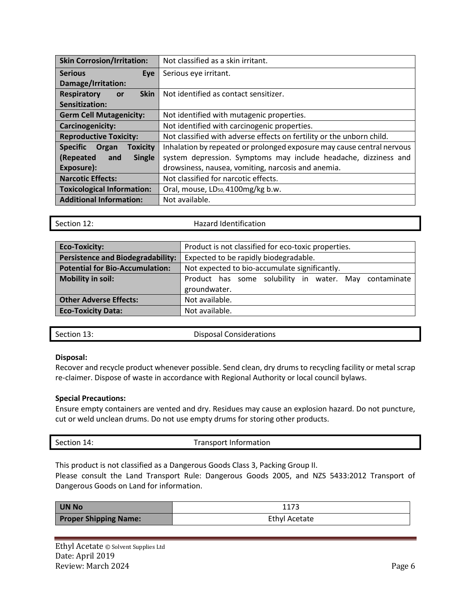| <b>Skin Corrosion/Irritation:</b>           | Not classified as a skin irritant.                                     |
|---------------------------------------------|------------------------------------------------------------------------|
| <b>Serious</b><br>Eve                       | Serious eye irritant.                                                  |
| Damage/Irritation:                          |                                                                        |
| <b>Skin</b><br><b>Respiratory</b><br>or     | Not identified as contact sensitizer.                                  |
| Sensitization:                              |                                                                        |
| <b>Germ Cell Mutagenicity:</b>              | Not identified with mutagenic properties.                              |
| <b>Carcinogenicity:</b>                     | Not identified with carcinogenic properties.                           |
| <b>Reproductive Toxicity:</b>               | Not classified with adverse effects on fertility or the unborn child.  |
| <b>Specific</b><br><b>Toxicity</b><br>Organ | Inhalation by repeated or prolonged exposure may cause central nervous |
| (Repeated<br>and<br><b>Single</b>           | system depression. Symptoms may include headache, dizziness and        |
| Exposure):                                  | drowsiness, nausea, vomiting, narcosis and anemia.                     |
| <b>Narcotic Effects:</b>                    | Not classified for narcotic effects.                                   |
| <b>Toxicological Information:</b>           | Oral, mouse, LD <sub>50</sub> , 4100mg/kg b.w.                         |
| <b>Additional Information:</b>              | Not available.                                                         |

Section 12: **Hazard Identification** 

| <b>Eco-Toxicity:</b>                     | Product is not classified for eco-toxic properties.   |  |
|------------------------------------------|-------------------------------------------------------|--|
| <b>Persistence and Biodegradability:</b> | Expected to be rapidly biodegradable.                 |  |
| <b>Potential for Bio-Accumulation:</b>   | Not expected to bio-accumulate significantly.         |  |
| <b>Mobility in soil:</b>                 | Product has some solubility in water. May contaminate |  |
|                                          | groundwater.                                          |  |
| <b>Other Adverse Effects:</b>            | Not available.                                        |  |
| <b>Eco-Toxicity Data:</b>                | Not available.                                        |  |

Section 13: Considerations Executive Disposal Considerations

# **Disposal:**

Recover and recycle product whenever possible. Send clean, dry drums to recycling facility or metal scrap re-claimer. Dispose of waste in accordance with Regional Authority or local council bylaws.

# **Special Precautions:**

Ensure empty containers are vented and dry. Residues may cause an explosion hazard. Do not puncture, cut or weld unclean drums. Do not use empty drums for storing other products.

| Section 14: | <b>Transport Information</b> |
|-------------|------------------------------|
|             |                              |

This product is not classified as a Dangerous Goods Class 3, Packing Group II.

Please consult the Land Transport Rule: Dangerous Goods 2005, and NZS 5433:2012 Transport of Dangerous Goods on Land for information.

| UN No                        |                      |
|------------------------------|----------------------|
| <b>Proper Shipping Name:</b> | <b>Ethyl Acetate</b> |